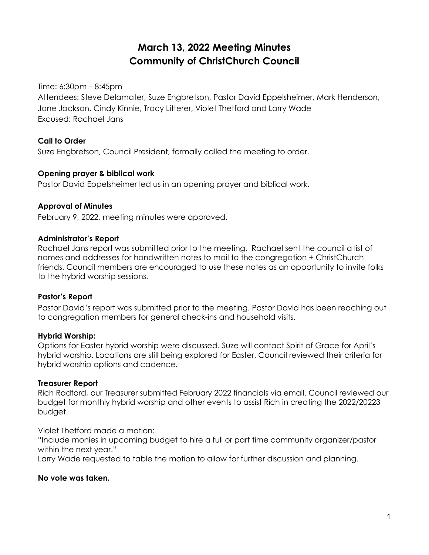# **March 13, 2022 Meeting Minutes Community of ChristChurch Council**

Time: 6:30pm – 8:45pm

Attendees: Steve Delamater, Suze Engbretson, Pastor David Eppelsheimer, Mark Henderson, Jane Jackson, Cindy Kinnie, Tracy Litterer, Violet Thetford and Larry Wade Excused: Rachael Jans

### **Call to Order**

Suze Engbretson, Council President, formally called the meeting to order.

#### **Opening prayer & biblical work**

Pastor David Eppelsheimer led us in an opening prayer and biblical work.

#### **Approval of Minutes**

February 9, 2022, meeting minutes were approved.

#### **Administrator's Report**

Rachael Jans report was submitted prior to the meeting. Rachael sent the council a list of names and addresses for handwritten notes to mail to the congregation + ChristChurch friends. Council members are encouraged to use these notes as an opportunity to invite folks to the hybrid worship sessions.

#### **Pastor's Report**

Pastor David's report was submitted prior to the meeting. Pastor David has been reaching out to congregation members for general check-ins and household visits.

#### **Hybrid Worship:**

Options for Easter hybrid worship were discussed. Suze will contact Spirit of Grace for April's hybrid worship. Locations are still being explored for Easter. Council reviewed their criteria for hybrid worship options and cadence.

#### **Treasurer Report**

Rich Radford, our Treasurer submitted February 2022 financials via email. Council reviewed our budget for monthly hybrid worship and other events to assist Rich in creating the 2022/20223 budget.

Violet Thetford made a motion:

"Include monies in upcoming budget to hire a full or part time community organizer/pastor within the next year."

Larry Wade requested to table the motion to allow for further discussion and planning.

#### **No vote was taken.**